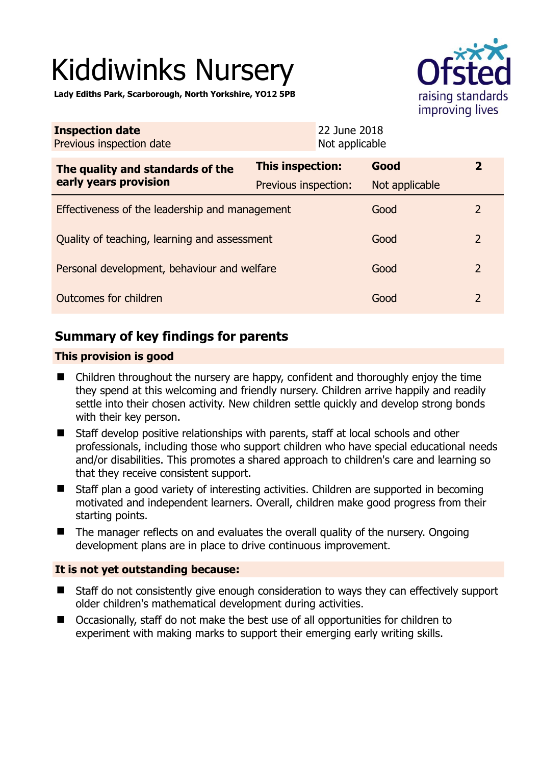# Kiddiwinks Nursery

**Lady Ediths Park, Scarborough, North Yorkshire, YO12 5PB** 



| <b>Inspection date</b><br>Previous inspection date        | 22 June 2018<br>Not applicable |                |                |
|-----------------------------------------------------------|--------------------------------|----------------|----------------|
| The quality and standards of the<br>early years provision | <b>This inspection:</b>        | Good           | $\mathbf{2}$   |
|                                                           | Previous inspection:           | Not applicable |                |
| Effectiveness of the leadership and management            |                                | Good           | 2              |
| Quality of teaching, learning and assessment              |                                | Good           | $\overline{2}$ |
| Personal development, behaviour and welfare               |                                | Good           | $\overline{2}$ |
| Outcomes for children                                     |                                | Good           | $\overline{2}$ |

# **Summary of key findings for parents**

## **This provision is good**

- Children throughout the nursery are happy, confident and thoroughly enjoy the time they spend at this welcoming and friendly nursery. Children arrive happily and readily settle into their chosen activity. New children settle quickly and develop strong bonds with their key person.
- Staff develop positive relationships with parents, staff at local schools and other professionals, including those who support children who have special educational needs and/or disabilities. This promotes a shared approach to children's care and learning so that they receive consistent support.
- Staff plan a good variety of interesting activities. Children are supported in becoming motivated and independent learners. Overall, children make good progress from their starting points.
- The manager reflects on and evaluates the overall quality of the nursery. Ongoing development plans are in place to drive continuous improvement.

## **It is not yet outstanding because:**

- Staff do not consistently give enough consideration to ways they can effectively support older children's mathematical development during activities.
- Occasionally, staff do not make the best use of all opportunities for children to experiment with making marks to support their emerging early writing skills.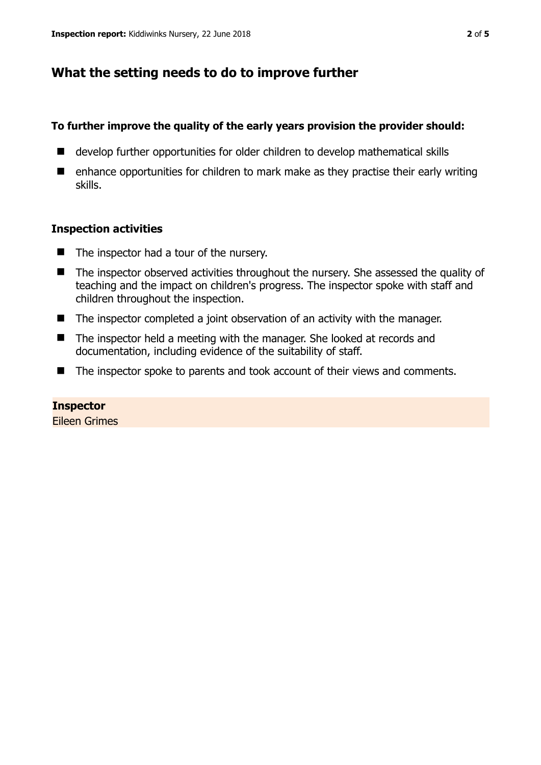# **What the setting needs to do to improve further**

### **To further improve the quality of the early years provision the provider should:**

- develop further opportunities for older children to develop mathematical skills
- enhance opportunities for children to mark make as they practise their early writing skills.

### **Inspection activities**

- The inspector had a tour of the nursery.
- The inspector observed activities throughout the nursery. She assessed the quality of teaching and the impact on children's progress. The inspector spoke with staff and children throughout the inspection.
- The inspector completed a joint observation of an activity with the manager.
- The inspector held a meeting with the manager. She looked at records and documentation, including evidence of the suitability of staff.
- The inspector spoke to parents and took account of their views and comments.

## **Inspector**

Eileen Grimes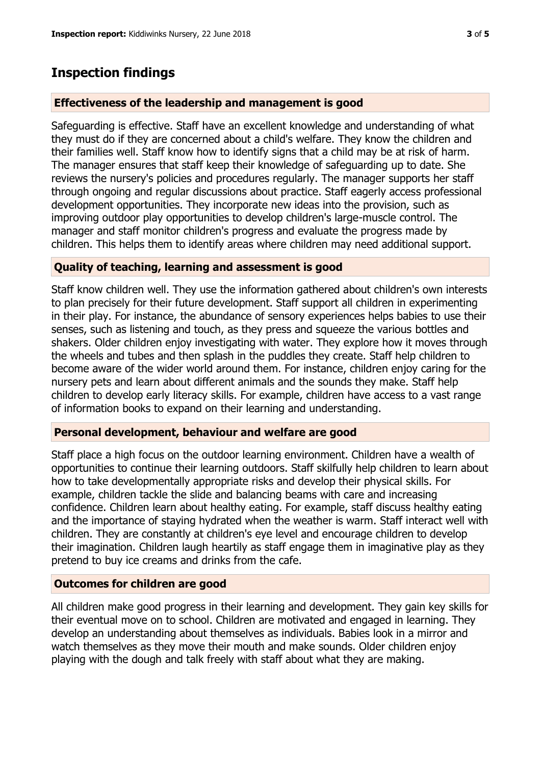## **Inspection findings**

#### **Effectiveness of the leadership and management is good**

Safeguarding is effective. Staff have an excellent knowledge and understanding of what they must do if they are concerned about a child's welfare. They know the children and their families well. Staff know how to identify signs that a child may be at risk of harm. The manager ensures that staff keep their knowledge of safeguarding up to date. She reviews the nursery's policies and procedures regularly. The manager supports her staff through ongoing and regular discussions about practice. Staff eagerly access professional development opportunities. They incorporate new ideas into the provision, such as improving outdoor play opportunities to develop children's large-muscle control. The manager and staff monitor children's progress and evaluate the progress made by children. This helps them to identify areas where children may need additional support.

#### **Quality of teaching, learning and assessment is good**

Staff know children well. They use the information gathered about children's own interests to plan precisely for their future development. Staff support all children in experimenting in their play. For instance, the abundance of sensory experiences helps babies to use their senses, such as listening and touch, as they press and squeeze the various bottles and shakers. Older children enjoy investigating with water. They explore how it moves through the wheels and tubes and then splash in the puddles they create. Staff help children to become aware of the wider world around them. For instance, children enjoy caring for the nursery pets and learn about different animals and the sounds they make. Staff help children to develop early literacy skills. For example, children have access to a vast range of information books to expand on their learning and understanding.

#### **Personal development, behaviour and welfare are good**

Staff place a high focus on the outdoor learning environment. Children have a wealth of opportunities to continue their learning outdoors. Staff skilfully help children to learn about how to take developmentally appropriate risks and develop their physical skills. For example, children tackle the slide and balancing beams with care and increasing confidence. Children learn about healthy eating. For example, staff discuss healthy eating and the importance of staying hydrated when the weather is warm. Staff interact well with children. They are constantly at children's eye level and encourage children to develop their imagination. Children laugh heartily as staff engage them in imaginative play as they pretend to buy ice creams and drinks from the cafe.

#### **Outcomes for children are good**

All children make good progress in their learning and development. They gain key skills for their eventual move on to school. Children are motivated and engaged in learning. They develop an understanding about themselves as individuals. Babies look in a mirror and watch themselves as they move their mouth and make sounds. Older children enjoy playing with the dough and talk freely with staff about what they are making.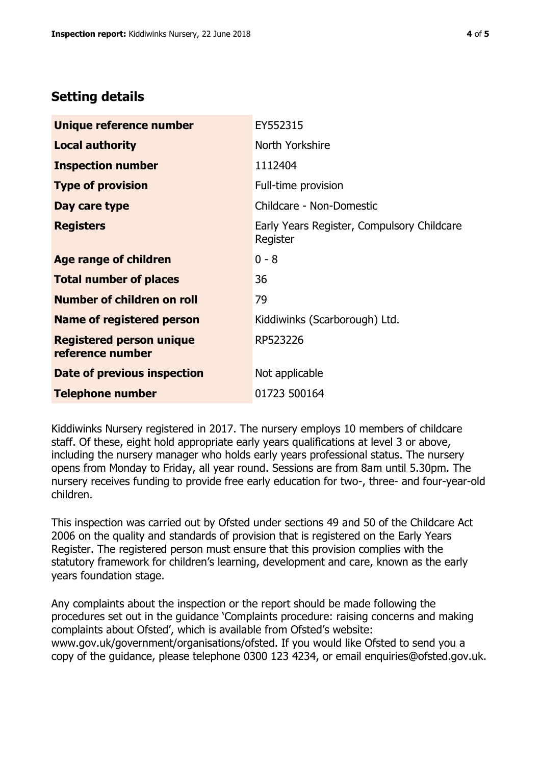# **Setting details**

| Unique reference number                             | EY552315                                               |  |
|-----------------------------------------------------|--------------------------------------------------------|--|
| <b>Local authority</b>                              | North Yorkshire                                        |  |
| <b>Inspection number</b>                            | 1112404                                                |  |
| <b>Type of provision</b>                            | Full-time provision                                    |  |
| Day care type                                       | Childcare - Non-Domestic                               |  |
| <b>Registers</b>                                    | Early Years Register, Compulsory Childcare<br>Register |  |
| <b>Age range of children</b>                        | $0 - 8$                                                |  |
| <b>Total number of places</b>                       | 36                                                     |  |
| Number of children on roll                          | 79                                                     |  |
| <b>Name of registered person</b>                    | Kiddiwinks (Scarborough) Ltd.                          |  |
| <b>Registered person unique</b><br>reference number | RP523226                                               |  |
| Date of previous inspection                         | Not applicable                                         |  |
| <b>Telephone number</b>                             | 01723 500164                                           |  |

Kiddiwinks Nursery registered in 2017. The nursery employs 10 members of childcare staff. Of these, eight hold appropriate early years qualifications at level 3 or above, including the nursery manager who holds early years professional status. The nursery opens from Monday to Friday, all year round. Sessions are from 8am until 5.30pm. The nursery receives funding to provide free early education for two-, three- and four-year-old children.

This inspection was carried out by Ofsted under sections 49 and 50 of the Childcare Act 2006 on the quality and standards of provision that is registered on the Early Years Register. The registered person must ensure that this provision complies with the statutory framework for children's learning, development and care, known as the early years foundation stage.

Any complaints about the inspection or the report should be made following the procedures set out in the guidance 'Complaints procedure: raising concerns and making complaints about Ofsted', which is available from Ofsted's website: www.gov.uk/government/organisations/ofsted. If you would like Ofsted to send you a copy of the guidance, please telephone 0300 123 4234, or email enquiries@ofsted.gov.uk.